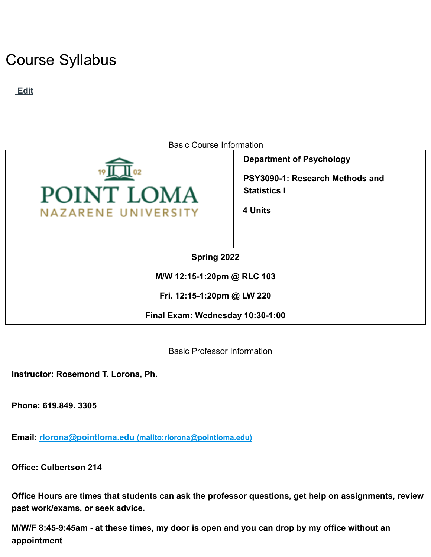# Course Syllabus

**Edit**



Basic Course Information

**Department of Psychology PSY3090-1: Research Methods and Statistics I**

**4 Units**

**Spring 2022**

**M/W 12:15-1:20pm @ RLC 103**

**Fri. 12:15-1:20pm @ LW 220**

**Final Exam: Wednesday 10:30-1:00**

Basic Professor Information

**Instructor: Rosemond T. Lorona, Ph.**

**Phone: 619.849. 3305**

**Email: rlorona@pointloma.edu (mailto:rlorona@pointloma.edu)**

**Office: Culbertson 214**

**Office Hours are times that students can ask the professor questions, get help on assignments, review past work/exams, or seek advice.**

M/W/F 8:45-9:45am - at these times, my door is open and you can drop by my office without an **appointment**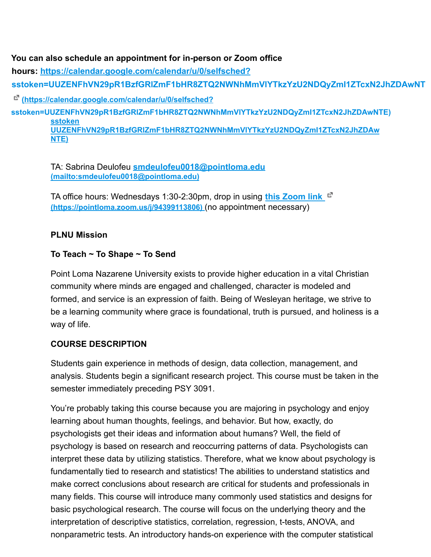### **You can also schedule an appointment for in-person or Zoom office**

**hours: https://calendar.google.com/calendar/u/0/selfsched?**

**sstoken=UUZENFhVN29pR1BzfGRlZmF1bHR8ZTQ2NWNhMmVlYTkzYzU2NDQyZmI1ZTcxN2JhZDAwNT**

**(https://calendar.google.com/calendar/u/0/selfsched?**

**sstoken=UUZENFhVN29pR1BzfGRlZmF1bHR8ZTQ2NWNhMmVlYTkzYzU2NDQyZmI1ZTcxN2JhZDAwNTE) sstoken UUZENFhVN29pR1BzfGRlZmF1bHR8ZTQ2NWNhMmVlYTkzYzU2NDQyZmI1ZTcxN2JhZDAw NTE)**

> TA: Sabrina Deulofeu **smdeulofeu0018@pointloma.edu (mailto:smdeulofeu0018@pointloma.edu)**

TA office hours: Wednesdays 1:30-2:30pm, drop in using **this Zoom link (https://pointloma.zoom.us/j/94399113806)** (no appointment necessary)

## **PLNU Mission**

## **To Teach ~ To Shape ~ To Send**

Point Loma Nazarene University exists to provide higher education in a vital Christian community where minds are engaged and challenged, character is modeled and formed, and service is an expression of faith. Being of Wesleyan heritage, we strive to be a learning community where grace is foundational, truth is pursued, and holiness is a way of life.

## **COURSE DESCRIPTION**

Students gain experience in methods of design, data collection, management, and analysis. Students begin a significant research project. This course must be taken in the semester immediately preceding PSY 3091.

You're probably taking this course because you are majoring in psychology and enjoy learning about human thoughts, feelings, and behavior. But how, exactly, do psychologists get their ideas and information about humans? Well, the field of psychology is based on research and reoccurring patterns of data. Psychologists can interpret these data by utilizing statistics. Therefore, what we know about psychology is fundamentally tied to research and statistics! The abilities to understand statistics and make correct conclusions about research are critical for students and professionals in many fields. This course will introduce many commonly used statistics and designs for basic psychological research. The course will focus on the underlying theory and the interpretation of descriptive statistics, correlation, regression, t-tests, ANOVA, and nonparametric tests. An introductory hands-on experience with the computer statistical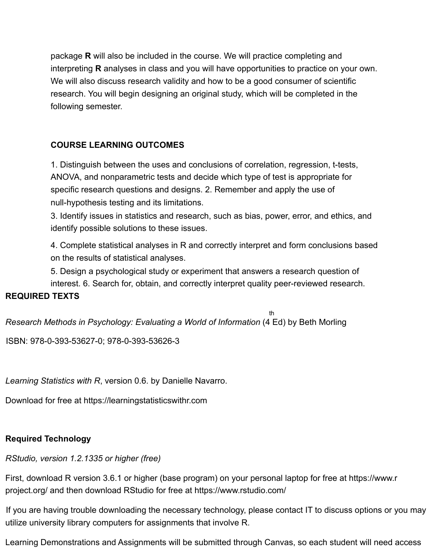package **R** will also be included in the course. We will practice completing and interpreting **R** analyses in class and you will have opportunities to practice on your own. We will also discuss research validity and how to be a good consumer of scientific research. You will begin designing an original study, which will be completed in the following semester.

# **COURSE LEARNING OUTCOMES**

1. Distinguish between the uses and conclusions of correlation, regression, t-tests, ANOVA, and nonparametric tests and decide which type of test is appropriate for specific research questions and designs. 2. Remember and apply the use of null-hypothesis testing and its limitations.

3. Identify issues in statistics and research, such as bias, power, error, and ethics, and identify possible solutions to these issues.

4. Complete statistical analyses in R and correctly interpret and form conclusions based on the results of statistical analyses.

5. Design a psychological study or experiment that answers a research question of interest. 6. Search for, obtain, and correctly interpret quality peer-reviewed research.

## **REQUIRED TEXTS**

th

*Research Methods in Psychology: Evaluating a World of Information* (4 Ed) by Beth Morling

ISBN: 978-0-393-53627-0; 978-0-393-53626-3

*Learning Statistics with R*, version 0.6. by Danielle Navarro.

Download for free at https://learningstatisticswithr.com

# **Required Technology**

*RStudio, version 1.2.1335 or higher (free)*

First, download R version 3.6.1 or higher (base program) on your personal laptop for free at https://www.r project.org/ and then download RStudio for free at https://www.rstudio.com/

If you are having trouble downloading the necessary technology, please contact IT to discuss options or you may utilize university library computers for assignments that involve R.

Learning Demonstrations and Assignments will be submitted through Canvas, so each student will need access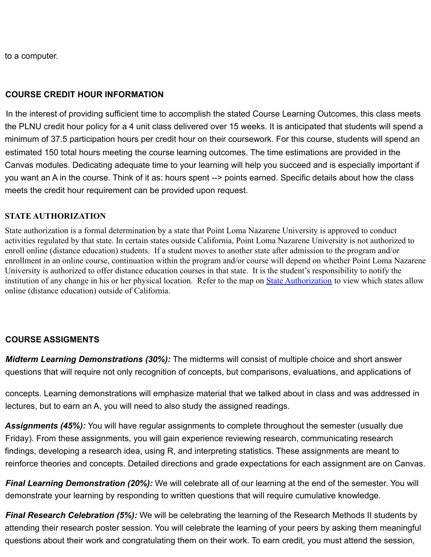to a computer.

#### **COURSE CREDIT HOUR INFORMATION**

In the interest of providing sufficient time to accomplish the stated Course Learning Outcomes, this class meets the PLNU credit hour policy for a 4 unit class delivered over 15 weeks. It is anticipated that students will spend a minimum of 37.5 participation hours per credit hour on their coursework. For this course, students will spend an estimated 150 total hours meeting the course learning outcomes. The time estimations are provided in the Canvas modules. Dedicating adequate time to your learning will help you succeed and is especially important if you want an A in the course. Think of it as: hours spent --> points earned. Specific details about how the class meets the credit hour requirement can be provided upon request.

#### **STATE AUTHORIZATION**

State authorization is a formal determination by a state that Point Loma Nazarene University is approved to conduct activities regulated by that state. In certain states outside California, Point Loma Nazarene University is not authorized to enroll online (distance education) students. If a student moves to another state after admission to the program and/or enrollment in an online course, continuation within the program and/or course will depend on whether Point Loma Nazarene University is authorized to offer distance education courses in that state. It is the student's responsibility to notify the institution of any change in his or her physical location. Refer to the map on [State Authorization](https://www.pointloma.edu/offices/office-institutional-effectiveness-research/disclosures) to view which states allow online (distance education) outside of California.

#### **COURSE ASSIGMENTS**

*Midterm Learning Demonstrations (30%):* The midterms will consist of multiple choice and short answer questions that will require not only recognition of concepts, but comparisons, evaluations, and applications of

concepts. Learning demonstrations will emphasize material that we talked about in class and was addressed in lectures, but to earn an A, you will need to also study the assigned readings.

*Assignments (45%):* You will have regular assignments to complete throughout the semester (usually due Friday). From these assignments, you will gain experience reviewing research, communicating research findings, developing a research idea, using R, and interpreting statistics. These assignments are meant to reinforce theories and concepts. Detailed directions and grade expectations for each assignment are on Canvas.

*Final Learning Demonstration (20%):* We will celebrate all of our learning at the end of the semester. You will demonstrate your learning by responding to written questions that will require cumulative knowledge.

*Final Research Celebration (5%):* We will be celebrating the learning of the Research Methods II students by attending their research poster session. You will celebrate the learning of your peers by asking them meaningful questions about their work and congratulating them on their work. To earn credit, you must attend the session,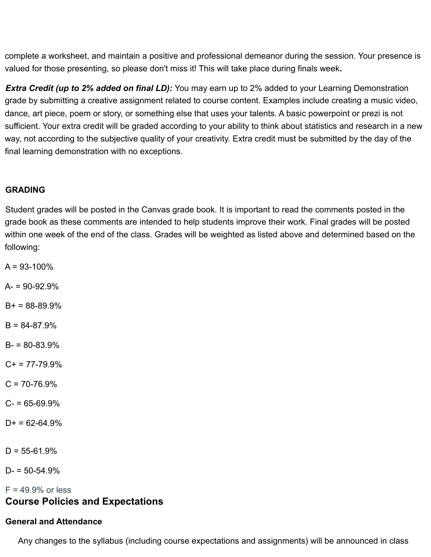complete a worksheet, and maintain a positive and professional demeanor during the session. Your presence is valued for those presenting, so please don't miss it! This will take place during finals week**.**

*Extra Credit (up to 2% added on final LD):* You may earn up to 2% added to your Learning Demonstration grade by submitting a creative assignment related to course content. Examples include creating a music video, dance, art piece, poem or story, or something else that uses your talents. A basic powerpoint or prezi is not sufficient. Your extra credit will be graded according to your ability to think about statistics and research in a new way, not according to the subjective quality of your creativity. Extra credit must be submitted by the day of the final learning demonstration with no exceptions.

#### **GRADING**

Student grades will be posted in the Canvas grade book. It is important to read the comments posted in the grade book as these comments are intended to help students improve their work. Final grades will be posted within one week of the end of the class. Grades will be weighted as listed above and determined based on the following:

 $A = 93 - 100\%$  $A = 90 - 92.9%$  $B+ = 88-89.9%$  $B = 84-87.9%$  $B - 80 - 83.9%$ 

 $C_{+}$  = 77-79.9%

 $C = 70 - 76.9%$ 

 $C = 65 - 69.9%$ 

 $D+ = 62-64.9%$ 

 $D = 55 - 61.9%$ 

 $D = 50 - 54.9%$ 

 $F = 49.9\%$  or less **Course Policies and Expectations**

## **General and Attendance**

Any changes to the syllabus (including course expectations and assignments) will be announced in class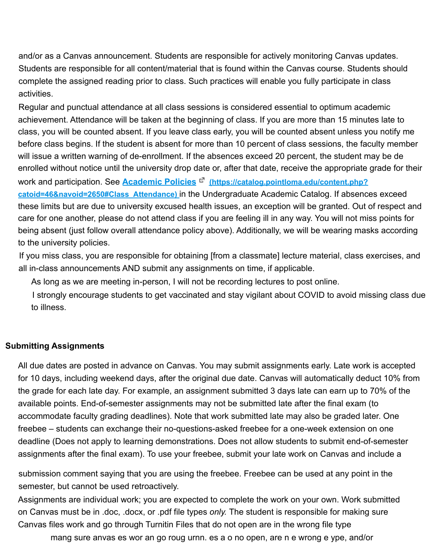and/or as a Canvas announcement. Students are responsible for actively monitoring Canvas updates. Students are responsible for all content/material that is found within the Canvas course. Students should complete the assigned reading prior to class. Such practices will enable you fully participate in class activities.

Regular and punctual attendance at all class sessions is considered essential to optimum academic achievement. Attendance will be taken at the beginning of class. If you are more than 15 minutes late to class, you will be counted absent. If you leave class early, you will be counted absent unless you notify me before class begins. If the student is absent for more than 10 percent of class sessions, the faculty member will issue a written warning of de-enrollment. If the absences exceed 20 percent, the student may be de enrolled without notice until the university drop date or, after that date, receive the appropriate grade for their work and participation. See **Academic Policies**<sup>®</sup> (https://catalog.pointloma.edu/content.php? **catoid=46&navoid=2650#Class\_Attendance)** in the Undergraduate Academic Catalog. If absences exceed these limits but are due to university excused health issues, an exception will be granted. Out of respect and care for one another, please do not attend class if you are feeling ill in any way. You will not miss points for being absent (just follow overall attendance policy above). Additionally, we will be wearing masks according to the university policies.

If you miss class, you are responsible for obtaining [from a classmate] lecture material, class exercises, and all in-class announcements AND submit any assignments on time, if applicable.

As long as we are meeting in-person, I will not be recording lectures to post online.

I strongly encourage students to get vaccinated and stay vigilant about COVID to avoid missing class due to illness.

#### **Submitting Assignments**

All due dates are posted in advance on Canvas. You may submit assignments early. Late work is accepted for 10 days, including weekend days, after the original due date. Canvas will automatically deduct 10% from the grade for each late day. For example, an assignment submitted 3 days late can earn up to 70% of the available points. End-of-semester assignments may not be submitted late after the final exam (to accommodate faculty grading deadlines). Note that work submitted late may also be graded later. One freebee – students can exchange their no-questions-asked freebee for a one-week extension on one deadline (Does not apply to learning demonstrations. Does not allow students to submit end-of-semester assignments after the final exam). To use your freebee, submit your late work on Canvas and include a

submission comment saying that you are using the freebee. Freebee can be used at any point in the semester, but cannot be used retroactively.

Assignments are individual work; you are expected to complete the work on your own. Work submitted on Canvas must be in .doc, .docx, or .pdf file types *only.* The student is responsible for making sure Canvas files work and go through Turnitin Files that do not open are in the wrong file type

mang sure anvas es wor an go roug urnn. es a o no open, are n e wrong e ype, and/or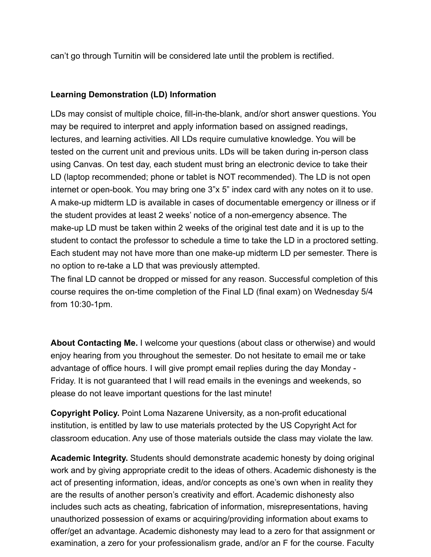can't go through Turnitin will be considered late until the problem is rectified.

## **Learning Demonstration (LD) Information**

LDs may consist of multiple choice, fill-in-the-blank, and/or short answer questions. You may be required to interpret and apply information based on assigned readings, lectures, and learning activities. All LDs require cumulative knowledge. You will be tested on the current unit and previous units. LDs will be taken during in-person class using Canvas. On test day, each student must bring an electronic device to take their LD (laptop recommended; phone or tablet is NOT recommended). The LD is not open internet or open-book. You may bring one 3"x 5" index card with any notes on it to use. A make-up midterm LD is available in cases of documentable emergency or illness or if the student provides at least 2 weeks' notice of a non-emergency absence. The make-up LD must be taken within 2 weeks of the original test date and it is up to the student to contact the professor to schedule a time to take the LD in a proctored setting. Each student may not have more than one make-up midterm LD per semester. There is no option to re-take a LD that was previously attempted.

The final LD cannot be dropped or missed for any reason. Successful completion of this course requires the on-time completion of the Final LD (final exam) on Wednesday 5/4 from 10:30-1pm.

**About Contacting Me.** I welcome your questions (about class or otherwise) and would enjoy hearing from you throughout the semester. Do not hesitate to email me or take advantage of office hours. I will give prompt email replies during the day Monday - Friday. It is not guaranteed that I will read emails in the evenings and weekends, so please do not leave important questions for the last minute!

**Copyright Policy.** Point Loma Nazarene University, as a non-profit educational institution, is entitled by law to use materials protected by the US Copyright Act for classroom education. Any use of those materials outside the class may violate the law.

**Academic Integrity.** Students should demonstrate academic honesty by doing original work and by giving appropriate credit to the ideas of others. Academic dishonesty is the act of presenting information, ideas, and/or concepts as one's own when in reality they are the results of another person's creativity and effort. Academic dishonesty also includes such acts as cheating, fabrication of information, misrepresentations, having unauthorized possession of exams or acquiring/providing information about exams to offer/get an advantage. Academic dishonesty may lead to a zero for that assignment or examination, a zero for your professionalism grade, and/or an F for the course. Faculty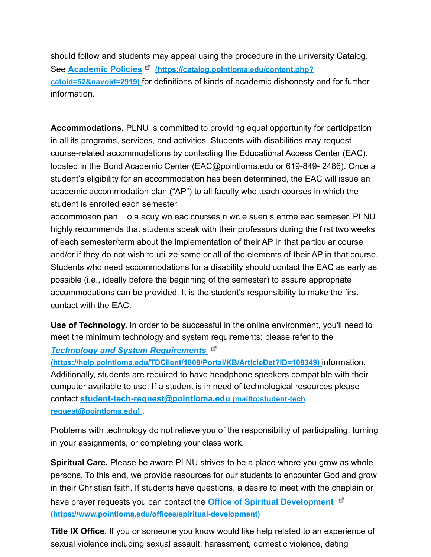should follow and students may appeal using the procedure in the university Catalog. See **Academic Policies (https://catalog.pointloma.edu/content.php? catoid=52&navoid=2919)** for definitions of kinds of academic dishonesty and for further information.

**Accommodations.** PLNU is committed to providing equal opportunity for participation in all its programs, services, and activities. Students with disabilities may request course-related accommodations by contacting the Educational Access Center (EAC), located in the Bond Academic Center (EAC@pointloma.edu or 619-849- 2486). Once a student's eligibility for an accommodation has been determined, the EAC will issue an academic accommodation plan ("AP") to all faculty who teach courses in which the student is enrolled each semester

accommoaon pan o a acuy wo eac courses n wc e suen s enroe eac semeser. PLNU highly recommends that students speak with their professors during the first two weeks of each semester/term about the implementation of their AP in that particular course and/or if they do not wish to utilize some or all of the elements of their AP in that course. Students who need accommodations for a disability should contact the EAC as early as possible (i.e., ideally before the beginning of the semester) to assure appropriate accommodations can be provided. It is the student's responsibility to make the first contact with the EAC.

**Use of Technology.** In order to be successful in the online environment, you'll need to meet the minimum technology and system requirements; please refer to the

*Technology and System Requirements*

**(https://help.pointloma.edu/TDClient/1808/Portal/KB/ArticleDet?ID=108349)** information. Additionally, students are required to have headphone speakers compatible with their computer available to use. If a student is in need of technological resources please contact **student-tech-request@pointloma.edu (mailto:student-tech request@pointloma.edu)** .

Problems with technology do not relieve you of the responsibility of participating, turning in your assignments, or completing your class work.

**Spiritual Care.** Please be aware PLNU strives to be a place where you grow as whole persons. To this end, we provide resources for our students to encounter God and grow in their Christian faith. If students have questions, a desire to meet with the chaplain or have prayer requests you can contact the **Office of Spiritual Development (https://www.pointloma.edu/offices/spiritual-development)**

**Title IX Office.** If you or someone you know would like help related to an experience of sexual violence including sexual assault, harassment, domestic violence, dating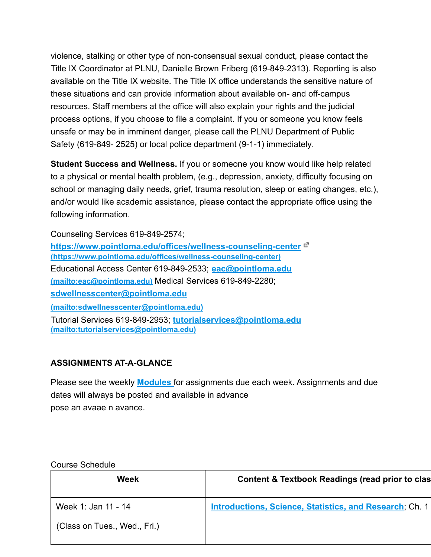violence, stalking or other type of non-consensual sexual conduct, please contact the Title IX Coordinator at PLNU, Danielle Brown Friberg (619-849-2313). Reporting is also available on the Title IX website. The Title IX office understands the sensitive nature of these situations and can provide information about available on- and off-campus resources. Staff members at the office will also explain your rights and the judicial process options, if you choose to file a complaint. If you or someone you know feels unsafe or may be in imminent danger, please call the PLNU Department of Public Safety (619-849- 2525) or local police department (9-1-1) immediately.

**Student Success and Wellness.** If you or someone you know would like help related to a physical or mental health problem, (e.g., depression, anxiety, difficulty focusing on school or managing daily needs, grief, trauma resolution, sleep or eating changes, etc.), and/or would like academic assistance, please contact the appropriate office using the following information.

Counseling Services 619-849-2574;

**https://www.pointloma.edu/offices/wellness-counseling-center (https://www.pointloma.edu/offices/wellness-counseling-center)** Educational Access Center 619-849-2533; **eac@pointloma.edu (mailto:eac@pointloma.edu)** Medical Services 619-849-2280; **sdwellnesscenter@pointloma.edu (mailto:sdwellnesscenter@pointloma.edu)** Tutorial Services 619-849-2953; **tutorialservices@pointloma.edu (mailto:tutorialservices@pointloma.edu)**

# **ASSIGNMENTS AT-A-GLANCE**

Please see the weekly **Modules** for assignments due each week. Assignments and due dates will always be posted and available in advance pose an avaae n avance.

Course Schedule

| Week                         | <b>Content &amp; Textbook Readings (read prior to clas</b> |
|------------------------------|------------------------------------------------------------|
| Week 1: Jan 11 - 14          | Introductions, Science, Statistics, and Research, Ch. 1    |
| (Class on Tues., Wed., Fri.) |                                                            |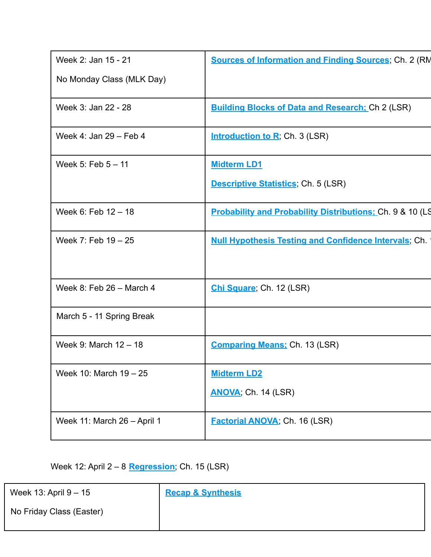| Week 2: Jan 15 - 21         | <b>Sources of Information and Finding Sources; Ch. 2 (RM</b>         |
|-----------------------------|----------------------------------------------------------------------|
| No Monday Class (MLK Day)   |                                                                      |
| Week 3: Jan 22 - 28         | <b>Building Blocks of Data and Research; Ch 2 (LSR)</b>              |
| Week 4: Jan 29 - Feb 4      | <b>Introduction to R</b> ; Ch. 3 (LSR)                               |
| Week 5: Feb $5 - 11$        | <b>Midterm LD1</b>                                                   |
|                             | <b>Descriptive Statistics</b> , Ch. 5 (LSR)                          |
| Week 6: Feb 12 - 18         | <b>Probability and Probability Distributions: Ch. 9 &amp; 10 (LS</b> |
| Week 7: Feb 19 - 25         | <b>Null Hypothesis Testing and Confidence Intervals</b> ; Ch.        |
| Week 8: Feb 26 - March 4    | Chi Square; Ch. 12 (LSR)                                             |
| March 5 - 11 Spring Break   |                                                                      |
| Week 9: March 12 - 18       | <b>Comparing Means: Ch. 13 (LSR)</b>                                 |
| Week 10: March 19 - 25      | <b>Midterm LD2</b>                                                   |
|                             | <b>ANOVA</b> , Ch. 14 (LSR)                                          |
| Week 11: March 26 - April 1 | <b>Factorial ANOVA; Ch. 16 (LSR)</b>                                 |
|                             |                                                                      |

Week 12: April 2 – 8 **Regression**; Ch. 15 (LSR)

Week 13: April 9 – 15

**Recap & Synthesis**

No Friday Class (Easter)